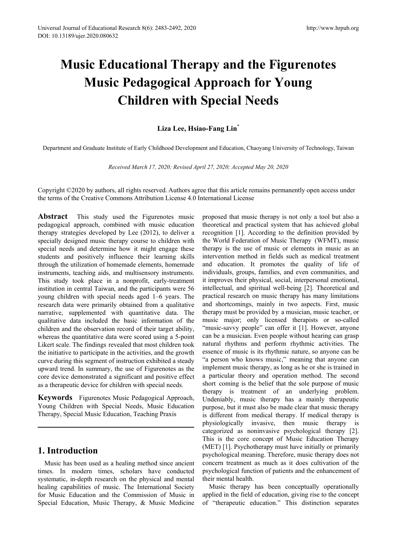# **Music Educational Therapy and the Figurenotes Music Pedagogical Approach for Young Children with Special Needs**

## **Liza Lee, Hsiao-Fang Lin\***

Department and Graduate Institute of Early Childhood Development and Education, Chaoyang University of Technology, Taiwan

*Received March 17, 2020; Revised April 27, 2020; Accepted May 20, 2020*

Copyright ©2020 by authors, all rights reserved. Authors agree that this article remains permanently open access under the terms of the Creative Commons Attribution License 4.0 International License

**Abstract** This study used the Figurenotes music pedagogical approach, combined with music education therapy strategies developed by Lee (2012), to deliver a specially designed music therapy course to children with special needs and determine how it might engage these students and positively influence their learning skills through the utilization of homemade elements, homemade instruments, teaching aids, and multisensory instruments. This study took place in a nonprofit, early-treatment institution in central Taiwan, and the participants were 56 young children with special needs aged 1–6 years. The research data were primarily obtained from a qualitative narrative, supplemented with quantitative data. The qualitative data included the basic information of the children and the observation record of their target ability, whereas the quantitative data were scored using a 5-point Likert scale. The findings revealed that most children took the initiative to participate in the activities, and the growth curve during this segment of instruction exhibited a steady upward trend. In summary, the use of Figurenotes as the core device demonstrated a significant and positive effect as a therapeutic device for children with special needs.

**Keywords** Figurenotes Music Pedagogical Approach, Young Children with Special Needs, Music Education Therapy, Special Music Education, Teaching Praxis

## **1. Introduction**

Music has been used as a healing method since ancient times. In modern times, scholars have conducted systematic, in-depth research on the physical and mental healing capabilities of music. The International Society for Music Education and the Commission of Music in Special Education, Music Therapy, & Music Medicine proposed that music therapy is not only a tool but also a theoretical and practical system that has achieved global recognition [1]. According to the definition provided by the World Federation of Music Therapy (WFMT), music therapy is the use of music or elements in music as an intervention method in fields such as medical treatment and education. It promotes the quality of life of individuals, groups, families, and even communities, and it improves their physical, social, interpersonal emotional, intellectual, and spiritual well-being [2]. Theoretical and practical research on music therapy has many limitations and shortcomings, mainly in two aspects. First, music therapy must be provided by a musician, music teacher, or music major; only licensed therapists or so-called "music-savvy people" can offer it [1]. However, anyone can be a musician. Even people without hearing can grasp natural rhythms and perform rhythmic activities. The essence of music is its rhythmic nature, so anyone can be "a person who knows music," meaning that anyone can implement music therapy, as long as he or she is trained in a particular theory and operation method. The second short coming is the belief that the sole purpose of music therapy is treatment of an underlying problem. Undeniably, music therapy has a mainly therapeutic purpose, but it must also be made clear that music therapy is different from medical therapy. If medical therapy is physiologically invasive, then music therapy is categorized as noninvasive psychological therapy [2]. This is the core concept of Music Education Therapy (MET) [1]. Psychotherapy must have initially or primarily psychological meaning. Therefore, music therapy does not concern treatment as much as it does cultivation of the psychological function of patients and the enhancement of their mental health.

Music therapy has been conceptually operationally applied in the field of education, giving rise to the concept of "therapeutic education." This distinction separates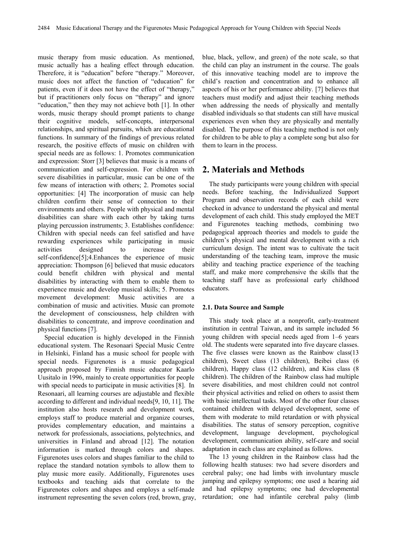music therapy from music education. As mentioned, music actually has a healing effect through education. Therefore, it is "education" before "therapy." Moreover, music does not affect the function of "education" for patients, even if it does not have the effect of "therapy," but if practitioners only focus on "therapy" and ignore "education," then they may not achieve both [1]. In other words, music therapy should prompt patients to change their cognitive models, self-concepts, interpersonal relationships, and spiritual pursuits, which are educational functions. In summary of the findings of previous related research, the positive effects of music on children with special needs are as follows: 1. Promotes communication and expression: Storr [3] believes that music is a means of communication and self-expression. For children with severe disabilities in particular, music can be one of the few means of interaction with others; 2. Promotes social opportunities: [4] The incorporation of music can help children confirm their sense of connection to their environments and others. People with physical and mental disabilities can share with each other by taking turns playing percussion instruments; 3. Establishes confidence: Children with special needs can feel satisfied and have rewarding experiences while participating in music activities designed to increase their self-confidence[5];4.Enhances the experience of music appreciation: Thompson [6] believed that music educators could benefit children with physical and mental disabilities by interacting with them to enable them to experience music and develop musical skills; 5. Promotes movement development: Music activities are a combination of music and activities. Music can promote the development of consciousness, help children with disabilities to concentrate, and improve coordination and physical functions [7].

Special education is highly developed in the Finnish educational system. The Resonaari Special Music Centre in Helsinki, Finland has a music school for people with special needs. Figurenotes is a music pedagogical approach proposed by Finnish music educator Kaarlo Uusitalo in 1996, mainly to create opportunities for people with special needs to participate in music activities [8]. In Resonaari, all learning courses are adjustable and flexible according to different and individual needs[9, 10, 11]. The institution also hosts research and development work, employs staff to produce material and organize courses, provides complementary education, and maintains a network for professionals, associations, polytechnics, and universities in Finland and abroad [12]. The notation information is marked through colors and shapes. Figurenotes uses colors and shapes familiar to the child to replace the standard notation symbols to allow them to play music more easily. Additionally, Figurenotes uses textbooks and teaching aids that correlate to the Figurenotes colors and shapes and employs a self-made instrument representing the seven colors (red, brown, gray, blue, black, yellow, and green) of the note scale, so that the child can play an instrument in the course. The goals of this innovative teaching model are to improve the child's reaction and concentration and to enhance all aspects of his or her performance ability. [7] believes that teachers must modify and adjust their teaching methods when addressing the needs of physically and mentally disabled individuals so that students can still have musical experiences even when they are physically and mentally disabled. The purpose of this teaching method is not only for children to be able to play a complete song but also for them to learn in the process.

## **2. Materials and Methods**

The study participants were young children with special needs. Before teaching, the Individualized Support Program and observation records of each child were checked in advance to understand the physical and mental development of each child. This study employed the MET and Figurenotes teaching methods, combining two pedagogical approach theories and models to guide the children's physical and mental development with a rich curriculum design. The intent was to cultivate the tacit understanding of the teaching team, improve the music ability and teaching practice experience of the teaching staff, and make more comprehensive the skills that the teaching staff have as professional early childhood educators.

#### **2.1. Data Source and Sample**

This study took place at a nonprofit, early-treatment institution in central Taiwan, and its sample included 56 young children with special needs aged from 1–6 years old. The students were separated into five daycare classes. The five classes were known as the Rainbow class(13 children), Sweet class (13 children), Beibei class (6 children), Happy class (12 children), and Kiss class (8 children). The children of the Rainbow class had multiple severe disabilities, and most children could not control their physical activities and relied on others to assist them with basic intellectual tasks. Most of the other four classes contained children with delayed development, some of them with moderate to mild retardation or with physical disabilities. The status of sensory perception, cognitive development, language development, psychological development, communication ability, self-care and social adaptation in each class are explained as follows.

The 13 young children in the Rainbow class had the following health statuses: two had severe disorders and cerebral palsy; one had limbs with involuntary muscle jumping and epilepsy symptoms; one used a hearing aid and had epilepsy symptoms; one had developmental retardation; one had infantile cerebral palsy (limb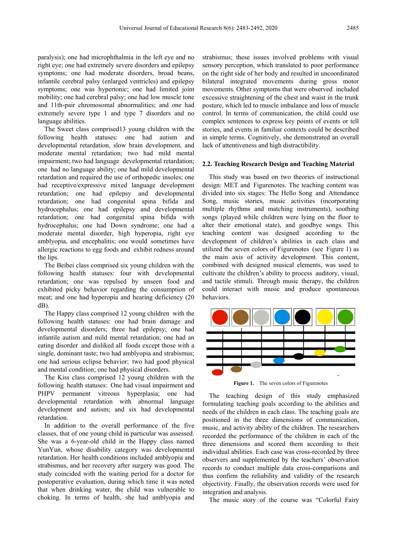paralysis); one had microphthalmia in the left eye and no right eye; one had extremely severe disorders and epilepsy symptoms; one had moderate disorders, broad beans, infantile cerebral palsy (enlarged ventricles) and epilepsy symptoms; one was hypertonic; one had limited joint mobility; one had cerebral palsy; one had low muscle tone and 11th-pair chromosomal abnormalities; and one had extremely severe type 1 and type 7 disorders and no language abilities.

The Sweet class comprised13 young children with the following health statuses: one had autism and developmental retardation, slow brain development, and moderate mental retardation; two had mild mental impairment; two had language developmental retardation; one had no language ability; one had mild developmental retardation and required the use of orthopedic insoles; one had receptive/expressive mixed language development retardation; one had epilepsy and developmental retardation; one had congenital spina bifida and hydrocephalus; one had epilepsy and developmental retardation; one had congenital spina bifida with hydrocephalus; one had Down syndrome; one had a moderate mental disorder, high hyperopia, right eye amblyopia, and encephalitis; one would sometimes have allergic reactions to egg foods and exhibit redness around the lips.

The Beibei class comprised six young children with the following health statuses: four with developmental retardation; one was repulsed by unseen food and exhibited picky behavior regarding the consumption of meat; and one had hyperopia and hearing deficiency (20 dB).

The Happy class comprised 12 young children with the following health statuses: one had brain damage and developmental disorders; three had epilepsy; one had infantile autism and mild mental retardation; one had an eating disorder and disliked all foods except those with a single, dominant taste; two had amblyopia and strabismus; one had serious eclipse behavior; two had good physical and mental condition; one had physical disorders.

The Kiss class comprised 12 young children with the following health statuses: One had visual impairment and PHPV permanent vitreous hyperplasia; one had developmental retardation with abnormal language development and autism; and six had developmental retardation.

In addition to the overall performance of the five classes, that of one young child in particular was assessed. She was a 6-year-old child in the Happy class named YunYun, whose disability category was developmental retardation. Her health conditions included amblyopia and strabismus, and her recovery after surgery was good. The study coincided with the waiting period for a doctor for postoperative evaluation, during which time it was noted that when drinking water, the child was vulnerable to choking. In terms of health, she had amblyopia and

strabismus; these issues involved problems with visual sensory perception, which translated to poor performance on the right side of her body and resulted in uncoordinated bilateral integrated movements during gross motor movements. Other symptoms that were observed included excessive straightening of the chest and waist in the trunk posture, which led to muscle imbalance and loss of muscle control. In terms of communication, the child could use complex sentences to express key points of events or tell stories, and events in familiar contexts could be described in simple terms. Cognitively, she demonstrated an overall lack of attentiveness and high distractibility.

#### **2.2. Teaching Research Design and Teaching Material**

This study was based on two theories of instructional design: MET and Figurenotes. The teaching content was divided into six stages: The Hello Song and Attendance Song, music stories, music activities (incorporating multiple rhythms and matching instruments), soothing songs (played while children were lying on the floor to alter their emotional state), and goodbye songs. This teaching content was designed according to the development of children's abilities in each class and utilized the seven colors of Figurenotes (see Figure 1) as the main axis of activity development. This content, combined with designed musical elements, was used to cultivate the children's ability to process auditory, visual, and tactile stimuli. Through music therapy, the children could interact with music and produce spontaneous behaviors.



**Figure 1.** The seven colors of Figurenotes

The teaching design of this study emphasized formulating teaching goals according to the abilities and needs of the children in each class. The teaching goals are positioned in the three dimensions of communication, music, and activity ability of the children. The researchers recorded the performance of the children in each of the three dimensions and scored them according to their individual abilities. Each case was cross-recorded by three observers and supplemented by the teachers' observation records to conduct multiple data cross-comparisons and thus confirm the reliability and validity of the research objectivity. Finally, the observation records were used for integration and analysis.

The music story of the course was "Colorful Fairy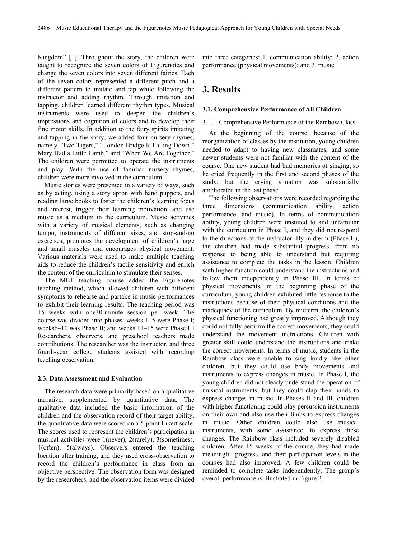Kingdom" [1]. Throughout the story, the children were taught to recognize the seven colors of Figurenotes and change the seven colors into seven different fairies. Each of the seven colors represented a different pitch and a different pattern to imitate and tap while following the instructor and adding rhythm. Through imitation and tapping, children learned different rhythm types. Musical instruments were used to deepen the children's impressions and cognition of colors and to develop their fine motor skills. In addition to the fairy spirits imitating and tapping in the story, we added four nursery rhymes, namely "Two Tigers," "London Bridge Is Falling Down," Mary Had a Little Lamb," and "When We Are Together." The children were permitted to operate the instruments and play. With the use of familiar nursery rhymes, children were more involved in the curriculum.

Music stories were presented in a variety of ways, such as by acting, using a story apron with hand puppets, and reading large books to foster the children's learning focus and interest, trigger their learning motivation, and use music as a medium in the curriculum. Music activities with a variety of musical elements, such as changing tempo, instruments of different sizes, and stop-and-go exercises, promotes the development of children's large and small muscles and encourages physical movement. Various materials were used to make multiple teaching aids to reduce the children's tactile sensitivity and enrich the content of the curriculum to stimulate their senses.

The MET teaching course added the Figurenotes teaching method, which allowed children with different symptoms to rehearse and partake in music performances to exhibit their learning results. The teaching period was 15 weeks with one30-minute session per week. The course was divided into phases: weeks 1–5 were Phase I; weeks6–10 was Phase II; and weeks 11–15 were Phase III. Researchers, observers, and preschool teachers made contributions. The researcher was the instructor, and three fourth-year college students assisted with recording teaching observation.

#### **2.3. Data Assessment and Evaluation**

The research data were primarily based on a qualitative narrative, supplemented by quantitative data. The qualitative data included the basic information of the children and the observation record of their target ability; the quantitative data were scored on a 5-point Likert scale. The scores used to represent the children's participation in musical activities were 1(never), 2(rarely), 3(sometimes), 4(often), 5(always). Observers entered the teaching location after training, and they used cross-observation to record the children's performance in class from an objective perspective. The observation form was designed by the researchers, and the observation items were divided

into three categories: 1. communication ability; 2. action performance (physical movements); and 3. music.

## **3. Results**

#### **3.1. Comprehensive Performance of All Children**

### 3.1.1. Comprehensive Performance of the Rainbow Class

At the beginning of the course, because of the reorganization of classes by the institution, young children needed to adapt to having new classmates, and some newer students were not familiar with the content of the course. One new student had bad memories of singing, so he cried frequently in the first and second phases of the study, but the crying situation was substantially ameliorated in the last phase.

The following observations were recorded regarding the three dimensions (communication ability, action performance, and music). In terms of communication ability, young children were unsuited to and unfamiliar with the curriculum in Phase I, and they did not respond to the directions of the instructor. By midterm (Phase II), the children had made substantial progress, from no response to being able to understand but requiring assistance to complete the tasks in the lesson. Children with higher function could understand the instructions and follow them independently in Phase III. In terms of physical movements, in the beginning phase of the curriculum, young children exhibited little response to the instructions because of their physical conditions and the inadequacy of the curriculum. By midterm, the children's physical functioning had greatly improved. Although they could not fully perform the correct movements, they could understand the movement instructions. Children with greater skill could understand the instructions and make the correct movements. In terms of music, students in the Rainbow class were unable to sing loudly like other children, but they could use body movements and instruments to express changes in music. In Phase I, the young children did not clearly understand the operation of musical instruments, but they could clap their hands to express changes in music. In Phases II and III, children with higher functioning could play percussion instruments on their own and also use their limbs to express changes in music. Other children could also use musical instruments, with some assistance, to express these changes. The Rainbow class included severely disabled children. After 15 weeks of the course, they had made meaningful progress, and their participation levels in the courses had also improved. A few children could be reminded to complete tasks independently. The group's overall performance is illustrated in Figure 2.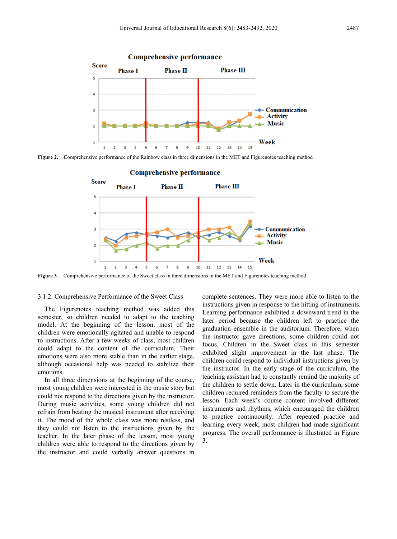

**Figure 2. C**omprehensive performance of the Rainbow class in three dimensions in the MET and Figurenotes teaching method



**Figure 3.** Comprehensive performance of the Sweet class in three dimensions in the MET and Figurenotes teaching method

#### 3.1.2. Comprehensive Performance of the Sweet Class

The Figurenotes teaching method was added this semester, so children needed to adapt to the teaching model. At the beginning of the lesson, most of the children were emotionally agitated and unable to respond to instructions. After a few weeks of class, most children could adapt to the content of the curriculum. Their emotions were also more stable than in the earlier stage, although occasional help was needed to stabilize their emotions.

In all three dimensions at the beginning of the course, most young children were interested in the music story but could not respond to the directions given by the instructor. During music activities, some young children did not refrain from beating the musical instrument after receiving it. The mood of the whole class was more restless, and they could not listen to the instructions given by the teacher. In the later phase of the lesson, most young children were able to respond to the directions given by the instructor and could verbally answer questions in

complete sentences. They were more able to listen to the instructions given in response to the hitting of instruments. Learning performance exhibited a downward trend in the later period because the children left to practice the graduation ensemble in the auditorium. Therefore, when the instructor gave directions, some children could not focus. Children in the Sweet class in this semester exhibited slight improvement in the last phase. The children could respond to individual instructions given by the instructor. In the early stage of the curriculum, the teaching assistant had to constantly remind the majority of the children to settle down. Later in the curriculum, some children required reminders from the faculty to secure the lesson. Each week's course content involved different instruments and rhythms, which encouraged the children to practice continuously. After repeated practice and learning every week, most children had made significant progress. The overall performance is illustrated in Figure 3.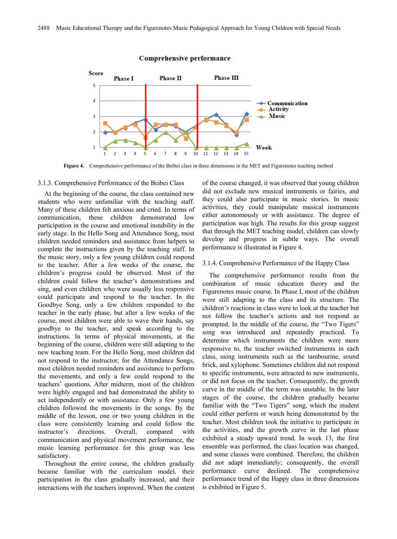

#### **Comprehensive performance**

**Figure 4.** Comprehensive performance of the Beibei class in three dimensions in the MET and Figurenotes teaching method

#### 3.1.3. Comprehensive Performance of the Beibei Class

At the beginning of the course, the class contained new students who were unfamiliar with the teaching staff. Many of these children felt anxious and cried. In terms of communication, these children demonstrated low participation in the course and emotional instability in the early stage. In the Hello Song and Attendance Song, most children needed reminders and assistance from helpers to complete the instructions given by the teaching staff. In the music story, only a few young children could respond to the teacher. After a few weeks of the course, the children's progress could be observed. Most of the children could follow the teacher's demonstrations and sing, and even children who were usually less responsive could participate and respond to the teacher. In the Goodbye Song, only a few children responded to the teacher in the early phase, but after a few weeks of the course, most children were able to wave their hands, say goodbye to the teacher, and speak according to the instructions. In terms of physical movements, at the beginning of the course, children were still adapting to the new teaching team. For the Hello Song, most children did not respond to the instructor; for the Attendance Songs, most children needed reminders and assistance to perform the movements, and only a few could respond to the teachers' questions. After midterm, most of the children were highly engaged and had demonstrated the ability to act independently or with assistance. Only a few young children followed the movements in the songs. By the middle of the lesson, one or two young children in the class were consistently learning and could follow the instructor's directions. Overall, compared with communication and physical movement performance, the music learning performance for this group was less satisfactory.

Throughout the entire course, the children gradually became familiar with the curriculum model, their participation in the class gradually increased, and their interactions with the teachers improved. When the content of the course changed, it was observed that young children did not exclude new musical instruments or fairies, and they could also participate in music stories. In music activities, they could manipulate musical instruments either autonomously or with assistance. The degree of participation was high. The results for this group suggest that through the MET teaching model, children can slowly develop and progress in subtle ways. The overall performance is illustrated in Figure 4.

#### 3.1.4. Comprehensive Performance of the Happy Class

The comprehensive performance results from the combination of music education theory and the Figurenotes music course. In Phase I, most of the children were still adapting to the class and its structure. The children's reactions in class were to look at the teacher but not follow the teacher's actions and not respond as prompted. In the middle of the course, the "Two Tigers" song was introduced and repeatedly practiced. To determine which instruments the children were more responsive to, the teacher switched instruments in each class, using instruments such as the tambourine, sound brick, and xylophone. Sometimes children did not respond to specific instruments, were attracted to new instruments, or did not focus on the teacher. Consequently, the growth curve in the middle of the term was unstable. In the later stages of the course, the children gradually became familiar with the "Two Tigers" song, which the student could either perform or watch being demonstrated by the teacher. Most children took the initiative to participate in the activities, and the growth curve in the last phase exhibited a steady upward trend. In week 13, the first ensemble was performed, the class location was changed, and some classes were combined. Therefore, the children did not adapt immediately; consequently, the overall performance curve declined. The comprehensive performance trend of the Happy class in three dimensions is exhibited in Figure 5.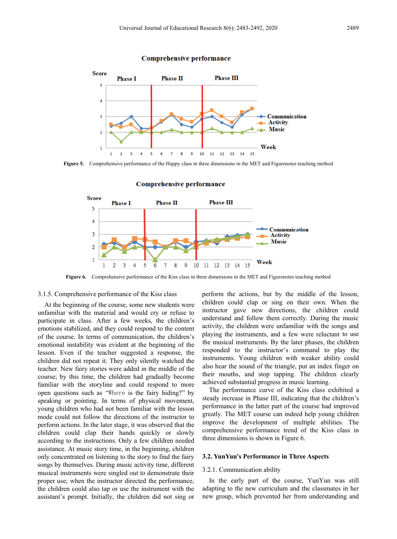

#### **Comprehensive performance**

**Figure 5.** Comprehensive performance of the Happy class in three dimensions in the MET and Figurenotes teaching method

**Comprehensive performance** 



**Figure 6.** Comprehensive performance of the Kiss class in three dimensions in the MET and Figurenotes teaching method

#### 3.1.5. Comprehensive performance of the Kiss class

At the beginning of the course, some new students were unfamiliar with the material and would cry or refuse to participate in class. After a few weeks, the children's emotions stabilized, and they could respond to the content of the course. In terms of communication, the children's emotional instability was evident at the beginning of the lesson. Even if the teacher suggested a response, the children did not repeat it. They only silently watched the teacher. New fairy stories were added in the middle of the course; by this time, the children had gradually become familiar with the storyline and could respond to more open questions such as "Where is the fairy hiding?" by speaking or pointing. In terms of physical movement, young children who had not been familiar with the lesson mode could not follow the directions of the instructor to perform actions. In the later stage, it was observed that the children could clap their hands quickly or slowly according to the instructions. Only a few children needed assistance. At music story time, in the beginning, children only concentrated on listening to the story to find the fairy songs by themselves. During music activity time, different musical instruments were singled out to demonstrate their proper use; when the instructor directed the performance, the children could also tap or use the instrument with the assistant's prompt. Initially, the children did not sing or

perform the actions, but by the middle of the lesson, children could clap or sing on their own. When the instructor gave new directions, the children could understand and follow them correctly. During the music activity, the children were unfamiliar with the songs and playing the instruments, and a few were reluctant to use the musical instruments. By the later phases, the children responded to the instructor's command to play the instruments. Young children with weaker ability could also hear the sound of the triangle, put an index finger on their mouths, and stop tapping. The children clearly achieved substantial progress in music learning.

The performance curve of the Kiss class exhibited a steady increase in Phase III, indicating that the children's performance in the latter part of the course had improved greatly. The MET course can indeed help young children improve the development of multiple abilities. The comprehensive performance trend of the Kiss class in three dimensions is shown in Figure 6.

#### **3.2. YunYun's Performance in Three Aspects**

#### 3.2.1. Communication ability

In the early part of the course, YunYun was still adapting to the new curriculum and the classmates in her new group, which prevented her from understanding and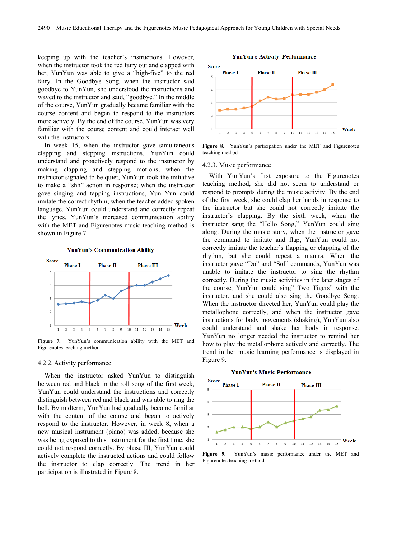keeping up with the teacher's instructions. However, when the instructor took the red fairy out and clapped with her, YunYun was able to give a "high-five" to the red fairy. In the Goodbye Song, when the instructor said goodbye to YunYun, she understood the instructions and waved to the instructor and said, "goodbye." In the middle of the course, YunYun gradually became familiar with the course content and began to respond to the instructors more actively. By the end of the course, YunYun was very familiar with the course content and could interact well with the instructors.

In week 15, when the instructor gave simultaneous clapping and stepping instructions, YunYun could understand and proactively respond to the instructor by making clapping and stepping motions; when the instructor signaled to be quiet, YunYun took the initiative to make a "shh" action in response; when the instructor gave singing and tapping instructions, Yun Yun could imitate the correct rhythm; when the teacher added spoken language, YunYun could understand and correctly repeat the lyrics. YunYun's increased communication ability with the MET and Figurenotes music teaching method is shown in Figure 7.





**Figure 7.** YunYun's communication ability with the MET and Figurenotes teaching method

#### 4.2.2. Activity performance

When the instructor asked YunYun to distinguish between red and black in the roll song of the first week, YunYun could understand the instructions and correctly distinguish between red and black and was able to ring the bell. By midterm, YunYun had gradually become familiar with the content of the course and began to actively respond to the instructor. However, in week 8, when a new musical instrument (piano) was added, because she was being exposed to this instrument for the first time, she could not respond correctly. By phase III, YunYun could actively complete the instructed actions and could follow the instructor to clap correctly. The trend in her participation is illustrated in Figure 8.



**YunYun's Activity Performance** 

**Figure 8.** YunYun's participation under the MET and Figurenotes teaching method

#### 4.2.3. Music performance

With YunYun's first exposure to the Figurenotes teaching method, she did not seem to understand or respond to prompts during the music activity. By the end of the first week, she could clap her hands in response to the instructor but she could not correctly imitate the instructor's clapping. By the sixth week, when the instructor sang the "Hello Song," YunYun could sing along. During the music story, when the instructor gave the command to imitate and flap, YunYun could not correctly imitate the teacher's flapping or clapping of the rhythm, but she could repeat a mantra. When the instructor gave "Do" and "Sol" commands, YunYun was unable to imitate the instructor to sing the rhythm correctly. During the music activities in the later stages of the course, YunYun could sing" Two Tigers" with the instructor, and she could also sing the Goodbye Song. When the instructor directed her, YunYun could play the metallophone correctly, and when the instructor gave instructions for body movements (shaking), YunYun also could understand and shake her body in response. YunYun no longer needed the instructor to remind her how to play the metallophone actively and correctly. The trend in her music learning performance is displayed in Figure 9.

#### **Score Phase** I **Phase II Phase III**  $\overline{a}$  $\overline{3}$  $\overline{2}$  $\overline{1}$ Week  $\begin{matrix} 10& 11& 12& 13 \end{matrix}$  $\overline{\mathbf{5}}$ 9 14  $15$

#### **YunYun's Music Performance**

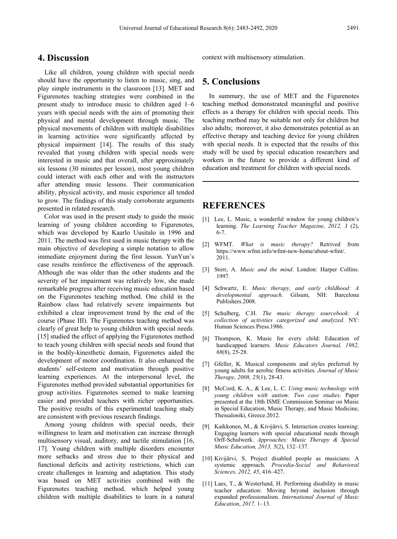## **4. Discussion**

Like all children, young children with special needs should have the opportunity to listen to music, sing, and play simple instruments in the classroom [13]. MET and Figurenotes teaching strategies were combined in the present study to introduce music to children aged 1–6 years with special needs with the aim of promoting their physical and mental development through music. The physical movements of children with multiple disabilities in learning activities were significantly affected by physical impairment [14]. The results of this study revealed that young children with special needs were interested in music and that overall, after approximately six lessons (30 minutes per lesson), most young children could interact with each other and with the instructors after attending music lessons. Their communication ability, physical activity, and music experience all tended to grow. The findings of this study corroborate arguments presented in related research.

Color was used in the present study to guide the music learning of young children according to Figurenotes, which was developed by Kaarlo Uusitalo in 1996 and 2011. The method was first used in music therapy with the main objective of developing a simple notation to allow immediate enjoyment during the first lesson. YunYun's case results reinforce the effectiveness of the approach. Although she was older than the other students and the severity of her impairment was relatively low, she made remarkable progress after receiving music education based on the Figurenotes teaching method. One child in the Rainbow class had relatively severe impairments but exhibited a clear improvement trend by the end of the course (Phase III). The Figurenotes teaching method was clearly of great help to young children with special needs. [15] studied the effect of applying the Figurenotes method to teach young children with special needs and found that in the bodily-kinesthetic domain, Figurenotes aided the development of motor coordination. It also enhanced the students' self-esteem and motivation through positive learning experiences. At the interpersonal level, the Figurenotes method provided substantial opportunities for group activities. Figurenotes seemed to make learning easier and provided teachers with richer opportunities. The positive results of this experimental teaching study are consistent with previous research findings.

Among young children with special needs, their willingness to learn and motivation can increase through multisensory visual, auditory, and tactile stimulation [16, 17]. Young children with multiple disorders encounter more setbacks and stress due to their physical and functional deficits and activity restrictions, which can create challenges in learning and adaptation. This study was based on MET activities combined with the Figurenotes teaching method, which helped young children with multiple disabilities to learn in a natural

context with multisensory stimulation.

## **5. Conclusions**

In summary, the use of MET and the Figurenotes teaching method demonstrated meaningful and positive effects as a therapy for children with special needs. This teaching method may be suitable not only for children but also adults; moreover, it also demonstrates potential as an effective therapy and teaching device for young children with special needs. It is expected that the results of this study will be used by special education researchers and workers in the future to provide a different kind of education and treatment for children with special needs.

## **REFERENCES**

- [1] Lee, L. Music, a wonderful window for young children's learning. *The Learning Teacher Magazine, 2012, 3* (2), 6-7.
- [2] WFMT. *What is music therapy?* Retrived from https://www.wfmt.info/wfmt-new-home/about-wfmt/. 2011.
- [3] Storr, A. *Music and the mind*. London: Harper Collins. 1997.
- [4] Schwartz, E. *Music therapy, and early childhood: A developmental approach*. Gilsum, NH: Barcelona Publishers.2008.
- [5] Schulberg, C.H. *The music therapy sourcebook: A collection of activities categorized and analyzed*. NY: Human Sciences Press.1986.
- [6] Thompson, K. Music for every child: Education of handicapped learners. *Music Educators Journal, 1982, 68*(8), 25-28.
- [7] Gfeller, K. Musical components and styles preferred by young adults for aerobic fitness activities. *Journal of Music Therapy, 2008, 25*(1), 28-43.
- [8] McCord, K. A., & Lee, L. C. *Using music technology with young children with autism: Two case studies*. Paper presented at the 18th ISME Commission Seminar on Music in Special Education, Music Therapy, and Music Medicine, Thessaloniki, Greece.2012.
- [9] Kaikkonen, M., & Kivijärvi, S. Interaction creates learning: Engaging learners with special educational needs through Orff-Schulwerk. *Approaches: Music Therapy & Special Music Education, 2013, 5*(2), 132–137.
- [10] Kivijärvi, S. Project disabled people as musicians: A systemic approach. *Procedia-Social and Behavioral Sciences, 2012, 45*, 416–427.
- [11] Laes, T., & Westerlund, H. Performing disability in music teacher education: Moving beyond inclusion through expanded professionalism. *International Journal of Music Education*, *2017,* 1–13.